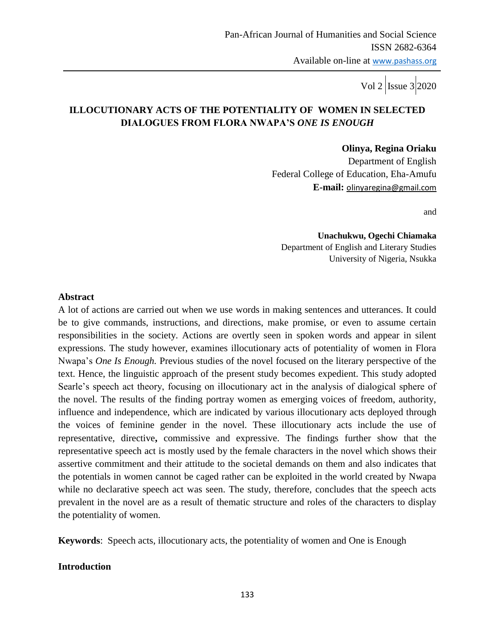# **ILLOCUTIONARY ACTS OF THE POTENTIALITY OF WOMEN IN SELECTED DIALOGUES FROM FLORA NWAPA'S** *ONE IS ENOUGH*

 **Olinya, Regina Oriaku**  Department of English Federal College of Education, Eha-Amufu **E-mail:** [olinyaregina@gmail.com](mailto:olinyaregina@gmail.com)

and

 **Unachukwu, Ogechi Chiamaka** Department of English and Literary Studies University of Nigeria, Nsukka

#### **Abstract**

A lot of actions are carried out when we use words in making sentences and utterances. It could be to give commands, instructions, and directions, make promise, or even to assume certain responsibilities in the society. Actions are overtly seen in spoken words and appear in silent expressions. The study however, examines illocutionary acts of potentiality of women in Flora Nwapa"s *One Is Enough.* Previous studies of the novel focused on the literary perspective of the text. Hence, the linguistic approach of the present study becomes expedient. This study adopted Searle"s speech act theory, focusing on illocutionary act in the analysis of dialogical sphere of the novel. The results of the finding portray women as emerging voices of freedom, authority, influence and independence, which are indicated by various illocutionary acts deployed through the voices of feminine gender in the novel. These illocutionary acts include the use of representative, directive**,** commissive and expressive. The findings further show that the representative speech act is mostly used by the female characters in the novel which shows their assertive commitment and their attitude to the societal demands on them and also indicates that the potentials in women cannot be caged rather can be exploited in the world created by Nwapa while no declarative speech act was seen. The study, therefore, concludes that the speech acts prevalent in the novel are as a result of thematic structure and roles of the characters to display the potentiality of women.

**Keywords**: Speech acts, illocutionary acts, the potentiality of women and One is Enough

#### **Introduction**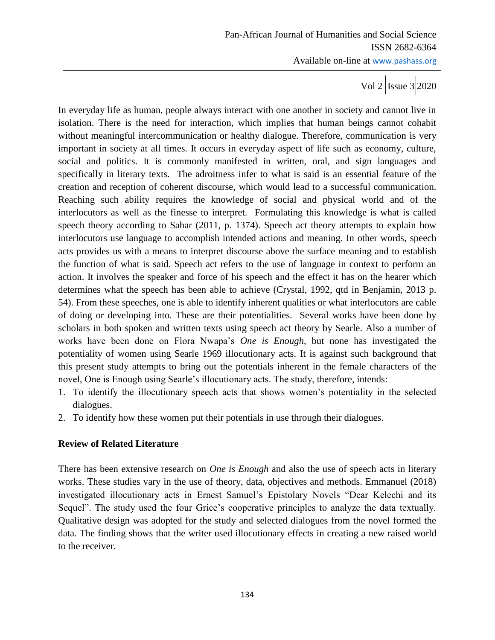In everyday life as human, people always interact with one another in society and cannot live in isolation. There is the need for interaction, which implies that human beings cannot cohabit without meaningful intercommunication or healthy dialogue. Therefore, communication is very important in society at all times. It occurs in everyday aspect of life such as economy, culture, social and politics. It is commonly manifested in written, oral, and sign languages and specifically in literary texts. The adroitness infer to what is said is an essential feature of the creation and reception of coherent discourse, which would lead to a successful communication. Reaching such ability requires the knowledge of social and physical world and of the interlocutors as well as the finesse to interpret. Formulating this knowledge is what is called speech theory according to Sahar (2011, p. 1374). Speech act theory attempts to explain how interlocutors use language to accomplish intended actions and meaning. In other words, speech acts provides us with a means to interpret discourse above the surface meaning and to establish the function of what is said. Speech act refers to the use of language in context to perform an action. It involves the speaker and force of his speech and the effect it has on the hearer which determines what the speech has been able to achieve (Crystal, 1992, qtd in Benjamin, 2013 p. 54). From these speeches, one is able to identify inherent qualities or what interlocutors are cable of doing or developing into. These are their potentialities. Several works have been done by scholars in both spoken and written texts using speech act theory by Searle. Also a number of works have been done on Flora Nwapa"s *One is Enough*, but none has investigated the potentiality of women using Searle 1969 illocutionary acts. It is against such background that this present study attempts to bring out the potentials inherent in the female characters of the novel, One is Enough using Searle"s illocutionary acts. The study, therefore, intends:

- 1. To identify the illocutionary speech acts that shows women"s potentiality in the selected dialogues.
- 2. To identify how these women put their potentials in use through their dialogues.

#### **Review of Related Literature**

There has been extensive research on *One is Enough* and also the use of speech acts in literary works. These studies vary in the use of theory, data, objectives and methods. Emmanuel (2018) investigated illocutionary acts in Ernest Samuel"s Epistolary Novels "Dear Kelechi and its Sequel". The study used the four Grice's cooperative principles to analyze the data textually. Qualitative design was adopted for the study and selected dialogues from the novel formed the data. The finding shows that the writer used illocutionary effects in creating a new raised world to the receiver.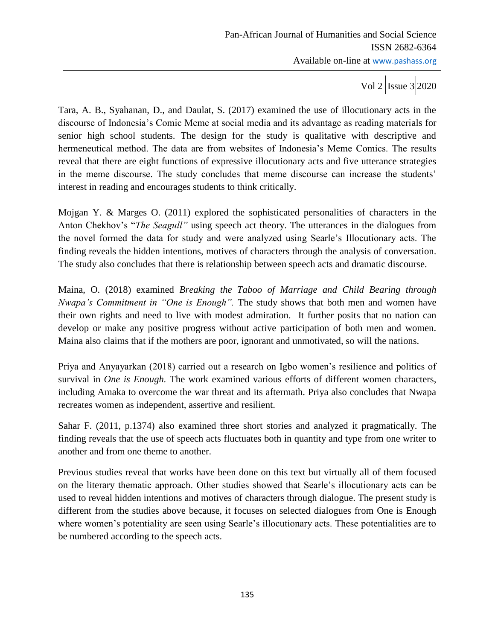Tara, A. B., Syahanan, D., and Daulat, S. (2017) examined the use of illocutionary acts in the discourse of Indonesia"s Comic Meme at social media and its advantage as reading materials for senior high school students. The design for the study is qualitative with descriptive and hermeneutical method. The data are from websites of Indonesia's Meme Comics. The results reveal that there are eight functions of expressive illocutionary acts and five utterance strategies in the meme discourse. The study concludes that meme discourse can increase the students" interest in reading and encourages students to think critically.

Mojgan Y. & Marges O. (2011) explored the sophisticated personalities of characters in the Anton Chekhov's "*The Seagull*" using speech act theory. The utterances in the dialogues from the novel formed the data for study and were analyzed using Searle"s Illocutionary acts. The finding reveals the hidden intentions, motives of characters through the analysis of conversation. The study also concludes that there is relationship between speech acts and dramatic discourse.

Maina, O. (2018) examined *Breaking the Taboo of Marriage and Child Bearing through Nwapa's Commitment in "One is Enough".* The study shows that both men and women have their own rights and need to live with modest admiration. It further posits that no nation can develop or make any positive progress without active participation of both men and women. Maina also claims that if the mothers are poor, ignorant and unmotivated, so will the nations.

Priya and Anyayarkan (2018) carried out a research on Igbo women"s resilience and politics of survival in *One is Enough.* The work examined various efforts of different women characters, including Amaka to overcome the war threat and its aftermath. Priya also concludes that Nwapa recreates women as independent, assertive and resilient.

Sahar F. (2011, p.1374) also examined three short stories and analyzed it pragmatically. The finding reveals that the use of speech acts fluctuates both in quantity and type from one writer to another and from one theme to another.

Previous studies reveal that works have been done on this text but virtually all of them focused on the literary thematic approach. Other studies showed that Searle"s illocutionary acts can be used to reveal hidden intentions and motives of characters through dialogue. The present study is different from the studies above because, it focuses on selected dialogues from One is Enough where women's potentiality are seen using Searle's illocutionary acts. These potentialities are to be numbered according to the speech acts.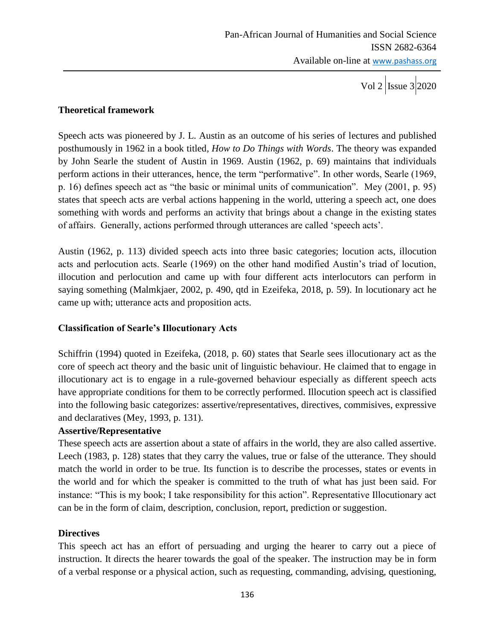#### **Theoretical framework**

Speech acts was pioneered by J. L. Austin as an outcome of his series of lectures and published posthumously in 1962 in a book titled*, How to Do Things with Words*. The theory was expanded by John Searle the student of Austin in 1969. Austin (1962, p. 69) maintains that individuals perform actions in their utterances, hence, the term "performative". In other words, Searle (1969, p. 16) defines speech act as "the basic or minimal units of communication". Mey (2001, p. 95) states that speech acts are verbal actions happening in the world, uttering a speech act, one does something with words and performs an activity that brings about a change in the existing states of affairs. Generally, actions performed through utterances are called "speech acts".

Austin (1962, p. 113) divided speech acts into three basic categories; locution acts, illocution acts and perlocution acts. Searle (1969) on the other hand modified Austin"s triad of locution, illocution and perlocution and came up with four different acts interlocutors can perform in saying something (Malmkjaer, 2002, p. 490, qtd in Ezeifeka, 2018, p. 59). In locutionary act he came up with; utterance acts and proposition acts.

#### **Classification of Searle's Illocutionary Acts**

Schiffrin (1994) quoted in Ezeifeka, (2018, p. 60) states that Searle sees illocutionary act as the core of speech act theory and the basic unit of linguistic behaviour. He claimed that to engage in illocutionary act is to engage in a rule-governed behaviour especially as different speech acts have appropriate conditions for them to be correctly performed. Illocution speech act is classified into the following basic categorizes: assertive/representatives, directives, commisives, expressive and declaratives (Mey, 1993, p. 131).

#### **Assertive/Representative**

These speech acts are assertion about a state of affairs in the world, they are also called assertive. Leech (1983, p. 128) states that they carry the values, true or false of the utterance. They should match the world in order to be true. Its function is to describe the processes, states or events in the world and for which the speaker is committed to the truth of what has just been said. For instance: "This is my book; I take responsibility for this action". Representative Illocutionary act can be in the form of claim, description, conclusion, report, prediction or suggestion.

#### **Directives**

This speech act has an effort of persuading and urging the hearer to carry out a piece of instruction. It directs the hearer towards the goal of the speaker. The instruction may be in form of a verbal response or a physical action, such as requesting, commanding, advising, questioning,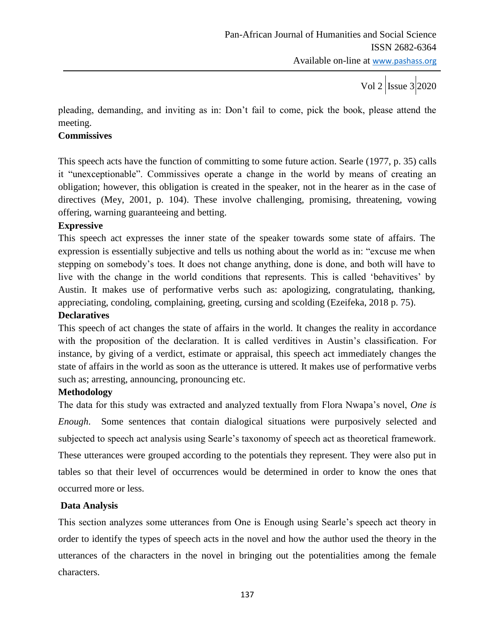pleading, demanding, and inviting as in: Don"t fail to come, pick the book, please attend the meeting.

#### **Commissives**

This speech acts have the function of committing to some future action. Searle (1977, p. 35) calls it "unexceptionable". Commissives operate a change in the world by means of creating an obligation; however, this obligation is created in the speaker, not in the hearer as in the case of directives (Mey, 2001, p. 104). These involve challenging, promising, threatening, vowing offering, warning guaranteeing and betting.

#### **Expressive**

This speech act expresses the inner state of the speaker towards some state of affairs. The expression is essentially subjective and tells us nothing about the world as in: "excuse me when stepping on somebody"s toes. It does not change anything, done is done, and both will have to live with the change in the world conditions that represents. This is called "behavitives" by Austin. It makes use of performative verbs such as: apologizing, congratulating, thanking, appreciating, condoling, complaining, greeting, cursing and scolding (Ezeifeka, 2018 p. 75).

#### **Declaratives**

This speech of act changes the state of affairs in the world. It changes the reality in accordance with the proposition of the declaration. It is called verditives in Austin"s classification. For instance, by giving of a verdict, estimate or appraisal, this speech act immediately changes the state of affairs in the world as soon as the utterance is uttered. It makes use of performative verbs such as; arresting, announcing, pronouncing etc.

#### **Methodology**

The data for this study was extracted and analyzed textually from Flora Nwapa"s novel, *One is Enough*. Some sentences that contain dialogical situations were purposively selected and subjected to speech act analysis using Searle's taxonomy of speech act as theoretical framework. These utterances were grouped according to the potentials they represent. They were also put in tables so that their level of occurrences would be determined in order to know the ones that occurred more or less.

#### **Data Analysis**

This section analyzes some utterances from One is Enough using Searle"s speech act theory in order to identify the types of speech acts in the novel and how the author used the theory in the utterances of the characters in the novel in bringing out the potentialities among the female characters.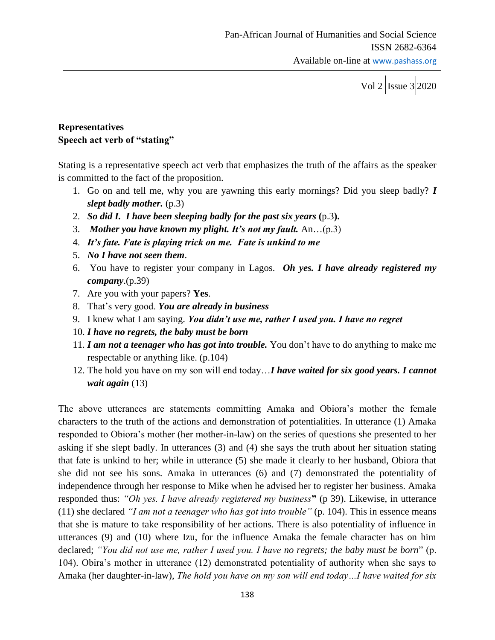#### **Representatives Speech act verb of "stating"**

Stating is a representative speech act verb that emphasizes the truth of the affairs as the speaker is committed to the fact of the proposition.

- 1. Go on and tell me, why you are yawning this early mornings? Did you sleep badly? *I slept badly mother.* (p.3)
- 2. *So did I. I have been sleeping badly for the past six years* **(**p.3**).**
- 3. *Mother you have known my plight. It's not my fault.* An…(p.3)
- 4. *It's fate. Fate is playing trick on me. Fate is unkind to me*
- 5. *No I have not seen them*.
- 6. You have to register your company in Lagos. *Oh yes. I have already registered my company*.(p.39)
- 7. Are you with your papers? **Yes**.
- 8. That"s very good. *You are already in business*
- 9. I knew what I am saying. *You didn't use me, rather I used you. I have no regret*
- 10. *I have no regrets, the baby must be born*
- 11. *I am not a teenager who has got into trouble.* You don"t have to do anything to make me respectable or anything like. (p.104)
- 12. The hold you have on my son will end today…*I have waited for six good years. I cannot wait again* (13)

The above utterances are statements committing Amaka and Obiora"s mother the female characters to the truth of the actions and demonstration of potentialities. In utterance (1) Amaka responded to Obiora"s mother (her mother-in-law) on the series of questions she presented to her asking if she slept badly. In utterances (3) and (4) she says the truth about her situation stating that fate is unkind to her; while in utterance (5) she made it clearly to her husband, Obiora that she did not see his sons. Amaka in utterances (6) and (7) demonstrated the potentiality of independence through her response to Mike when he advised her to register her business. Amaka responded thus: *"Oh yes. I have already registered my business***"** (p 39). Likewise, in utterance (11) she declared *"I am not a teenager who has got into trouble"* (p. 104). This in essence means that she is mature to take responsibility of her actions. There is also potentiality of influence in utterances (9) and (10) where Izu, for the influence Amaka the female character has on him declared; *"You did not use me, rather I used you. I have no regrets; the baby must be born*" (p. 104). Obira"s mother in utterance (12) demonstrated potentiality of authority when she says to Amaka (her daughter-in-law), *The hold you have on my son will end today…I have waited for six*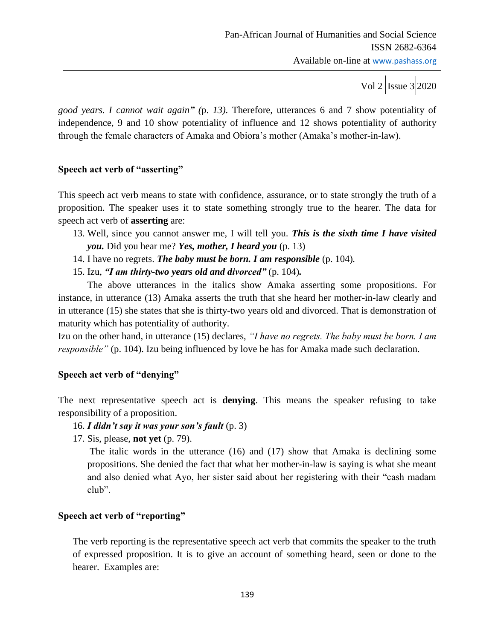*good years. I cannot wait again" (*p. *13).* Therefore*,* utterances 6 and 7 show potentiality of independence, 9 and 10 show potentiality of influence and 12 shows potentiality of authority through the female characters of Amaka and Obiora"s mother (Amaka"s mother-in-law).

#### **Speech act verb of "asserting"**

This speech act verb means to state with confidence, assurance, or to state strongly the truth of a proposition. The speaker uses it to state something strongly true to the hearer. The data for speech act verb of **asserting** are:

- 13. Well, since you cannot answer me, I will tell you. *This is the sixth time I have visited you.* Did you hear me? *Yes, mother, I heard you* (p. 13)
- 14. I have no regrets. *The baby must be born. I am responsible* (p. 104)*.*
- 15. Izu, *"I am thirty-two years old and divorced"* (p. 104)*.*

The above utterances in the italics show Amaka asserting some propositions. For instance, in utterance (13) Amaka asserts the truth that she heard her mother-in-law clearly and in utterance (15) she states that she is thirty-two years old and divorced. That is demonstration of maturity which has potentiality of authority.

Izu on the other hand, in utterance (15) declares, *"I have no regrets. The baby must be born. I am responsible"* (p. 104). Izu being influenced by love he has for Amaka made such declaration.

#### **Speech act verb of "denying"**

The next representative speech act is **denying**. This means the speaker refusing to take responsibility of a proposition.

- 16. *I didn't say it was your son's fault* (p. 3)
- 17. Sis, please, **not yet** (p. 79).

The italic words in the utterance (16) and (17) show that Amaka is declining some propositions. She denied the fact that what her mother-in-law is saying is what she meant and also denied what Ayo, her sister said about her registering with their "cash madam club".

### **Speech act verb of "reporting"**

The verb reporting is the representative speech act verb that commits the speaker to the truth of expressed proposition. It is to give an account of something heard, seen or done to the hearer. Examples are: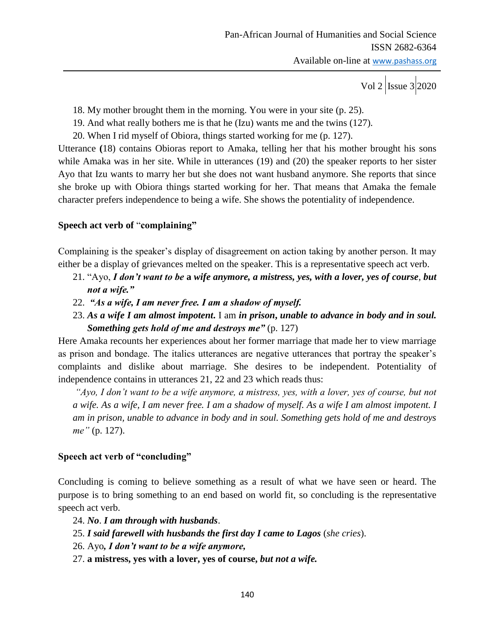- 18. My mother brought them in the morning. You were in your site (p. 25).
- 19. And what really bothers me is that he (Izu) wants me and the twins (127).
- 20. When I rid myself of Obiora, things started working for me (p. 127).

Utterance **(**18) contains Obioras report to Amaka, telling her that his mother brought his sons while Amaka was in her site. While in utterances (19) and (20) the speaker reports to her sister Ayo that Izu wants to marry her but she does not want husband anymore. She reports that since she broke up with Obiora things started working for her. That means that Amaka the female character prefers independence to being a wife. She shows the potentiality of independence.

#### **Speech act verb of** "**complaining"**

Complaining is the speaker's display of disagreement on action taking by another person. It may either be a display of grievances melted on the speaker. This is a representative speech act verb.

- 21. "Ayo, *I don't want to be* **a** *wife anymore, a mistress, yes, with a lover, yes of course, but not a wife."*
- 22. *"As a wife, I am never free. I am a shadow of myself.*
- 23. *As a wife I am almost impotent***.** I am *in prison***,** *unable to advance in body and in soul. Something gets hold of me and destroys me"* (p. 127)

Here Amaka recounts her experiences about her former marriage that made her to view marriage as prison and bondage. The italics utterances are negative utterances that portray the speaker's complaints and dislike about marriage. She desires to be independent. Potentiality of independence contains in utterances 21, 22 and 23 which reads thus:

*"Ayo, I don't want to be a wife anymore, a mistress, yes, with a lover, yes of course, but not a wife. As a wife, I am never free. I am a shadow of myself. As a wife I am almost impotent. I am in prison, unable to advance in body and in soul. Something gets hold of me and destroys me"* (p. 127).

#### **Speech act verb of "concluding"**

Concluding is coming to believe something as a result of what we have seen or heard. The purpose is to bring something to an end based on world fit, so concluding is the representative speech act verb.

- 24. *No*. *I am through with husbands*.
- 25. *I said farewell with husbands the first day I came to Lagos* (*she cries*).
- 26. Ayo*, I don't want to be a wife anymore,*
- 27. **a mistress, yes with a lover, yes of course,** *but not a wife.*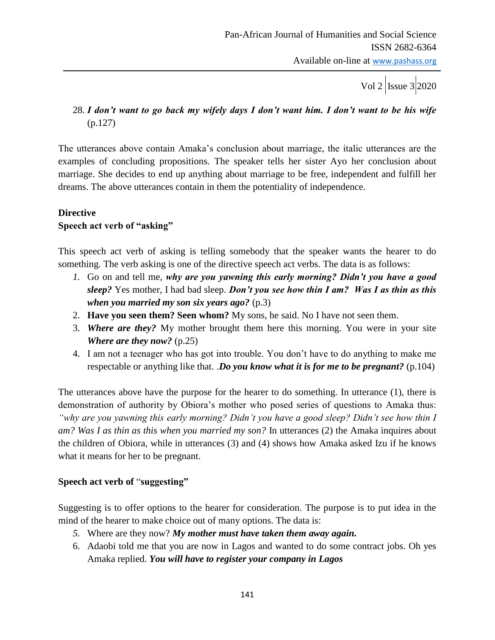### 28. *I don't want to go back my wifely days I don't want him. I don't want to be his wife* (p.127)

The utterances above contain Amaka"s conclusion about marriage, the italic utterances are the examples of concluding propositions. The speaker tells her sister Ayo her conclusion about marriage. She decides to end up anything about marriage to be free, independent and fulfill her dreams. The above utterances contain in them the potentiality of independence.

# **Directive**

#### **Speech act verb of "asking"**

This speech act verb of asking is telling somebody that the speaker wants the hearer to do something. The verb asking is one of the directive speech act verbs. The data is as follows:

- *1.* Go on and tell me, *why are you yawning this early morning? Didn't you have a good sleep?* Yes mother, I had bad sleep. *Don't you see how thin I am? Was I as thin as this when you married my son six years ago?* (p.3)
- 2. **Have you seen them? Seen whom?** My sons, he said. No I have not seen them.
- 3. *Where are they?* My mother brought them here this morning. You were in your site *Where are they now?* (p.25)
- 4. I am not a teenager who has got into trouble. You don"t have to do anything to make me respectable or anything like that. .*Do you know what it is for me to be pregnant?* (p.104)

The utterances above have the purpose for the hearer to do something. In utterance (1), there is demonstration of authority by Obiora"s mother who posed series of questions to Amaka thus: *"why are you yawning this early morning? Didn't you have a good sleep? Didn't see how thin I am? Was I as thin as this when you married my son?* In utterances (2) the Amaka inquires about the children of Obiora, while in utterances (3) and (4) shows how Amaka asked Izu if he knows what it means for her to be pregnant.

#### **Speech act verb of** "**suggesting"**

Suggesting is to offer options to the hearer for consideration. The purpose is to put idea in the mind of the hearer to make choice out of many options. The data is:

- *5.* Where are they now? *My mother must have taken them away again.*
- 6. Adaobi told me that you are now in Lagos and wanted to do some contract jobs. Oh yes Amaka replied. *You will have to register your company in Lagos*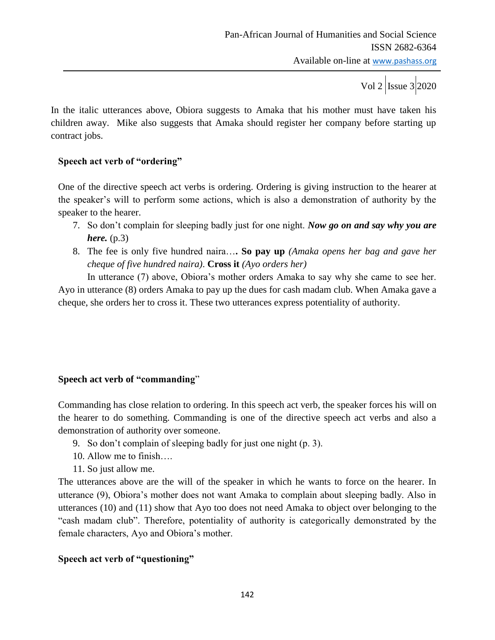In the italic utterances above, Obiora suggests to Amaka that his mother must have taken his children away. Mike also suggests that Amaka should register her company before starting up contract jobs.

#### **Speech act verb of "ordering"**

One of the directive speech act verbs is ordering. Ordering is giving instruction to the hearer at the speaker"s will to perform some actions, which is also a demonstration of authority by the speaker to the hearer.

- 7. So don"t complain for sleeping badly just for one night. *Now go on and say why you are here.* (p.3)
- 8. The fee is only five hundred naira…**. So pay up** *(Amaka opens her bag and gave her cheque of five hundred naira)*. **Cross it** *(Ayo orders her)*

In utterance (7) above, Obiora"s mother orders Amaka to say why she came to see her. Ayo in utterance (8) orders Amaka to pay up the dues for cash madam club. When Amaka gave a cheque, she orders her to cross it. These two utterances express potentiality of authority.

### **Speech act verb of "commanding**"

Commanding has close relation to ordering. In this speech act verb, the speaker forces his will on the hearer to do something. Commanding is one of the directive speech act verbs and also a demonstration of authority over someone.

- 9. So don"t complain of sleeping badly for just one night (p. 3).
- 10. Allow me to finish….
- 11. So just allow me.

The utterances above are the will of the speaker in which he wants to force on the hearer. In utterance (9), Obiora"s mother does not want Amaka to complain about sleeping badly. Also in utterances (10) and (11) show that Ayo too does not need Amaka to object over belonging to the "cash madam club". Therefore, potentiality of authority is categorically demonstrated by the female characters, Ayo and Obiora"s mother.

### **Speech act verb of "questioning"**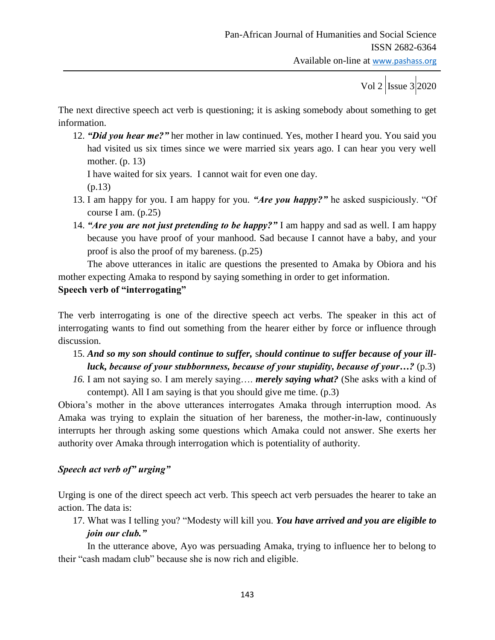The next directive speech act verb is questioning; it is asking somebody about something to get information.

12. *"Did you hear me?"* her mother in law continued. Yes, mother I heard you. You said you had visited us six times since we were married six years ago. I can hear you very well mother. (p. 13)

I have waited for six years. I cannot wait for even one day.

- (p.13)
- 13. I am happy for you. I am happy for you. *"Are you happy?"* he asked suspiciously. "Of course I am. (p.25)
- 14. *"Are you are not just pretending to be happy?"* I am happy and sad as well. I am happy because you have proof of your manhood. Sad because I cannot have a baby, and your proof is also the proof of my bareness. (p.25)

The above utterances in italic are questions the presented to Amaka by Obiora and his mother expecting Amaka to respond by saying something in order to get information.

#### **Speech verb of "interrogating"**

The verb interrogating is one of the directive speech act verbs. The speaker in this act of interrogating wants to find out something from the hearer either by force or influence through discussion.

- 15. *And so my son should continue to suffer,* s*hould continue to suffer because of your illluck, because of your stubbornness, because of your stupidity, because of your…?* (p.3)
- *16.* I am not saying so. I am merely saying…. *merely saying what?* (She asks with a kind of contempt). All I am saying is that you should give me time. (p.3)

Obiora"s mother in the above utterances interrogates Amaka through interruption mood. As Amaka was trying to explain the situation of her bareness, the mother-in-law, continuously interrupts her through asking some questions which Amaka could not answer. She exerts her authority over Amaka through interrogation which is potentiality of authority.

### *Speech act verb of" urging"*

Urging is one of the direct speech act verb. This speech act verb persuades the hearer to take an action. The data is:

17. What was I telling you? "Modesty will kill you. *You have arrived and you are eligible to join our club."*

In the utterance above, Ayo was persuading Amaka, trying to influence her to belong to their "cash madam club" because she is now rich and eligible.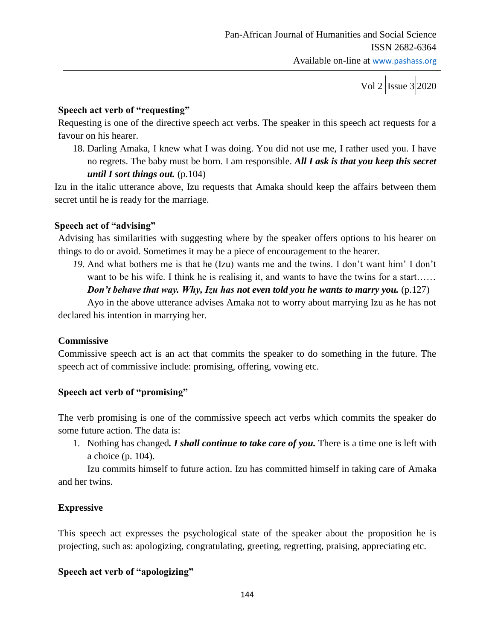#### **Speech act verb of "requesting"**

Requesting is one of the directive speech act verbs. The speaker in this speech act requests for a favour on his hearer.

18. Darling Amaka, I knew what I was doing. You did not use me, I rather used you. I have no regrets. The baby must be born. I am responsible. *All I ask is that you keep this secret until I sort things out.* (p.104)

Izu in the italic utterance above, Izu requests that Amaka should keep the affairs between them secret until he is ready for the marriage.

### **Speech act of "advising"**

Advising has similarities with suggesting where by the speaker offers options to his hearer on things to do or avoid. Sometimes it may be a piece of encouragement to the hearer.

19. And what bothers me is that he (Izu) wants me and the twins. I don't want him' I don't want to be his wife. I think he is realising it, and wants to have the twins for a start……

# *Don't behave that way. Why, Izu has not even told you he wants to marry you.* (p.127)

Ayo in the above utterance advises Amaka not to worry about marrying Izu as he has not declared his intention in marrying her.

### **Commissive**

Commissive speech act is an act that commits the speaker to do something in the future. The speech act of commissive include: promising, offering, vowing etc.

### **Speech act verb of "promising"**

The verb promising is one of the commissive speech act verbs which commits the speaker do some future action. The data is:

1. Nothing has changed*. I shall continue to take care of you.* There is a time one is left with a choice (p. 104).

Izu commits himself to future action. Izu has committed himself in taking care of Amaka and her twins.

# **Expressive**

This speech act expresses the psychological state of the speaker about the proposition he is projecting, such as: apologizing, congratulating, greeting, regretting, praising, appreciating etc.

### **Speech act verb of "apologizing"**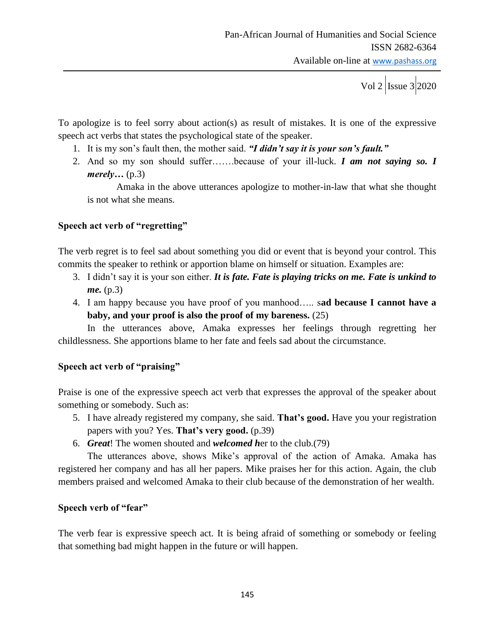To apologize is to feel sorry about action(s) as result of mistakes. It is one of the expressive speech act verbs that states the psychological state of the speaker.

- 1. It is my son"s fault then, the mother said. *"I didn't say it is your son's fault."*
- 2. And so my son should suffer…….because of your ill-luck. *I am not saying so. I merely…* (p.3)

Amaka in the above utterances apologize to mother-in-law that what she thought is not what she means.

### **Speech act verb of "regretting"**

The verb regret is to feel sad about something you did or event that is beyond your control. This commits the speaker to rethink or apportion blame on himself or situation. Examples are:

- 3. I didn"t say it is your son either. *It is fate. Fate is playing tricks on me. Fate is unkind to me.* (p.3)
- 4. I am happy because you have proof of you manhood….. s**ad because I cannot have a baby, and your proof is also the proof of my bareness.** (25)

In the utterances above, Amaka expresses her feelings through regretting her childlessness. She apportions blame to her fate and feels sad about the circumstance.

#### **Speech act verb of "praising"**

Praise is one of the expressive speech act verb that expresses the approval of the speaker about something or somebody. Such as:

- 5. I have already registered my company, she said. **That's good.** Have you your registration papers with you? Yes. **That's very good.** (p.39)
- 6. *Great*! The women shouted and *welcomed h*er to the club.(79)

The utterances above, shows Mike"s approval of the action of Amaka. Amaka has registered her company and has all her papers. Mike praises her for this action. Again, the club members praised and welcomed Amaka to their club because of the demonstration of her wealth.

#### **Speech verb of "fear"**

The verb fear is expressive speech act. It is being afraid of something or somebody or feeling that something bad might happen in the future or will happen.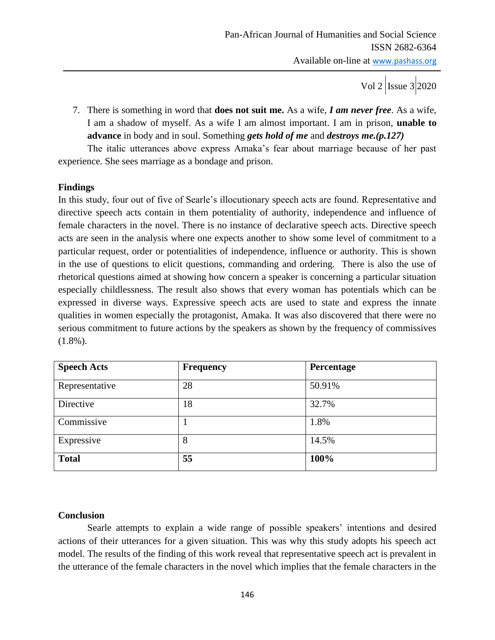7. There is something in word that **does not suit me.** As a wife, *I am never free*. As a wife, I am a shadow of myself. As a wife I am almost important. I am in prison, **unable to advance** in body and in soul. Something *gets hold of me* and *destroys me.(p.127)*

The italic utterances above express Amaka"s fear about marriage because of her past experience. She sees marriage as a bondage and prison.

#### **Findings**

In this study, four out of five of Searle"s illocutionary speech acts are found. Representative and directive speech acts contain in them potentiality of authority, independence and influence of female characters in the novel. There is no instance of declarative speech acts. Directive speech acts are seen in the analysis where one expects another to show some level of commitment to a particular request, order or potentialities of independence, influence or authority. This is shown in the use of questions to elicit questions, commanding and ordering. There is also the use of rhetorical questions aimed at showing how concern a speaker is concerning a particular situation especially childlessness. The result also shows that every woman has potentials which can be expressed in diverse ways. Expressive speech acts are used to state and express the innate qualities in women especially the protagonist, Amaka. It was also discovered that there were no serious commitment to future actions by the speakers as shown by the frequency of commissives  $(1.8\%)$ .

| <b>Speech Acts</b> | <b>Frequency</b> | Percentage |
|--------------------|------------------|------------|
| Representative     | 28               | 50.91%     |
| Directive          | 18               | 32.7%      |
| Commissive         |                  | 1.8%       |
| Expressive         | 8                | 14.5%      |
| <b>Total</b>       | 55               | 100%       |

### **Conclusion**

Searle attempts to explain a wide range of possible speakers' intentions and desired actions of their utterances for a given situation. This was why this study adopts his speech act model. The results of the finding of this work reveal that representative speech act is prevalent in the utterance of the female characters in the novel which implies that the female characters in the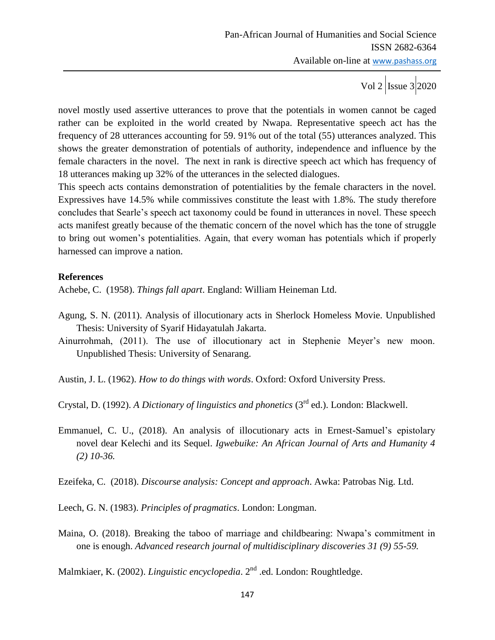novel mostly used assertive utterances to prove that the potentials in women cannot be caged rather can be exploited in the world created by Nwapa. Representative speech act has the frequency of 28 utterances accounting for 59. 91% out of the total (55) utterances analyzed. This shows the greater demonstration of potentials of authority, independence and influence by the female characters in the novel. The next in rank is directive speech act which has frequency of 18 utterances making up 32% of the utterances in the selected dialogues.

This speech acts contains demonstration of potentialities by the female characters in the novel. Expressives have 14.5% while commissives constitute the least with 1.8%. The study therefore concludes that Searle"s speech act taxonomy could be found in utterances in novel. These speech acts manifest greatly because of the thematic concern of the novel which has the tone of struggle to bring out women"s potentialities. Again, that every woman has potentials which if properly harnessed can improve a nation.

#### **References**

Achebe, C. (1958). *Things fall apart*. England: William Heineman Ltd.

- Agung, S. N. (2011). Analysis of illocutionary acts in Sherlock Homeless Movie. Unpublished Thesis: University of Syarif Hidayatulah Jakarta.
- Ainurrohmah, (2011). The use of illocutionary act in Stephenie Meyer's new moon. Unpublished Thesis: University of Senarang.
- Austin, J. L. (1962). *How to do things with words*. Oxford: Oxford University Press.
- Crystal, D. (1992). *A Dictionary of linguistics and phonetics* (3rd ed.). London: Blackwell.
- Emmanuel, C. U., (2018). An analysis of illocutionary acts in Ernest-Samuel's epistolary novel dear Kelechi and its Sequel. *Igwebuike: An African Journal of Arts and Humanity 4 (2) 10-36.*
- Ezeifeka, C. (2018). *Discourse analysis: Concept and approach*. Awka: Patrobas Nig. Ltd.
- Leech, G. N. (1983). *Principles of pragmatics*. London: Longman.
- Maina, O. (2018). Breaking the taboo of marriage and childbearing: Nwapa's commitment in one is enough. *Advanced research journal of multidisciplinary discoveries 31 (9) 55-59.*

Malmkiaer, K. (2002). *Linguistic encyclopedia*. 2<sup>nd</sup> .ed. London: Roughtledge.